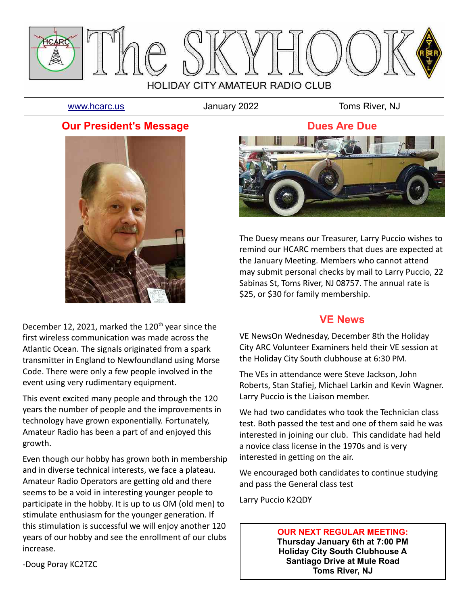

[www.hcarc.us](http://www.hcarc.us/) **Immuno Standary 2022** Toms River, NJ

#### **Our President's Message**



December 12, 2021, marked the 120<sup>th</sup> year since the first wireless communication was made across the Atlantic Ocean. The signals originated from a spark transmitter in England to Newfoundland using Morse Code. There were only a few people involved in the event using very rudimentary equipment.

This event excited many people and through the 120 years the number of people and the improvements in technology have grown exponentially. Fortunately, Amateur Radio has been a part of and enjoyed this growth.

Even though our hobby has grown both in membership and in diverse technical interests, we face a plateau. Amateur Radio Operators are getting old and there seems to be a void in interesting younger people to participate in the hobby. It is up to us OM (old men) to stimulate enthusiasm for the younger generation. If this stimulation is successful we will enjoy another 120 years of our hobby and see the enrollment of our clubs increase.



The Duesy means our Treasurer, Larry Puccio wishes to remind our HCARC members that dues are expected at the January Meeting. Members who cannot attend may submit personal checks by mail to Larry Puccio, 22 Sabinas St, Toms River, NJ 08757. The annual rate is \$25, or \$30 for family membership.

#### **VE News**

VE NewsOn Wednesday, December 8th the Holiday City ARC Volunteer Examiners held their VE session at the Holiday City South clubhouse at 6:30 PM.

The VEs in attendance were Steve Jackson, John Roberts, Stan Stafiej, Michael Larkin and Kevin Wagner. Larry Puccio is the Liaison member.

We had two candidates who took the Technician class test. Both passed the test and one of them said he was interested in joining our club. This candidate had held a novice class license in the 1970s and is very interested in getting on the air.

We encouraged both candidates to continue studying and pass the General class test

Larry Puccio K2QDY

#### **OUR NEXT REGULAR MEETING:**

**Thursday January 6th at 7:00 PM Holiday City South Clubhouse A Santiago Drive at Mule Road Toms River, NJ**

-Doug Poray KC2TZC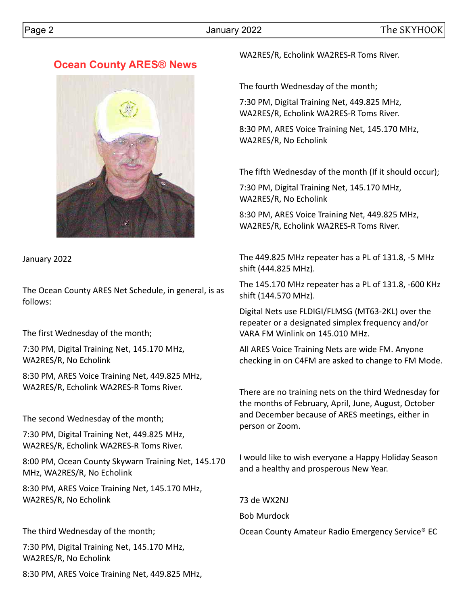## **Ocean County ARES® News**



January 2022

The Ocean County ARES Net Schedule, in general, is as follows:

The first Wednesday of the month;

7:30 PM, Digital Training Net, 145.170 MHz, WA2RES/R, No Echolink

8:30 PM, ARES Voice Training Net, 449.825 MHz, WA2RES/R, Echolink WA2RES-R Toms River.

The second Wednesday of the month;

7:30 PM, Digital Training Net, 449.825 MHz, WA2RES/R, Echolink WA2RES-R Toms River.

8:00 PM, Ocean County Skywarn Training Net, 145.170 MHz, WA2RES/R, No Echolink

8:30 PM, ARES Voice Training Net, 145.170 MHz, WA2RES/R, No Echolink

The third Wednesday of the month;

7:30 PM, Digital Training Net, 145.170 MHz, WA2RES/R, No Echolink

8:30 PM, ARES Voice Training Net, 449.825 MHz,

WA2RES/R, Echolink WA2RES-R Toms River.

The fourth Wednesday of the month;

7:30 PM, Digital Training Net, 449.825 MHz, WA2RES/R, Echolink WA2RES-R Toms River.

8:30 PM, ARES Voice Training Net, 145.170 MHz, WA2RES/R, No Echolink

The fifth Wednesday of the month (If it should occur);

7:30 PM, Digital Training Net, 145.170 MHz, WA2RES/R, No Echolink

8:30 PM, ARES Voice Training Net, 449.825 MHz, WA2RES/R, Echolink WA2RES-R Toms River.

The 449.825 MHz repeater has a PL of 131.8, -5 MHz shift (444.825 MHz).

The 145.170 MHz repeater has a PL of 131.8, -600 KHz shift (144.570 MHz).

Digital Nets use FLDIGI/FLMSG (MT63-2KL) over the repeater or a designated simplex frequency and/or VARA FM Winlink on 145.010 MHz.

All ARES Voice Training Nets are wide FM. Anyone checking in on C4FM are asked to change to FM Mode.

There are no training nets on the third Wednesday for the months of February, April, June, August, October and December because of ARES meetings, either in person or Zoom.

I would like to wish everyone a Happy Holiday Season and a healthy and prosperous New Year.

73 de WX2NJ

Bob Murdock

Ocean County Amateur Radio Emergency Service® EC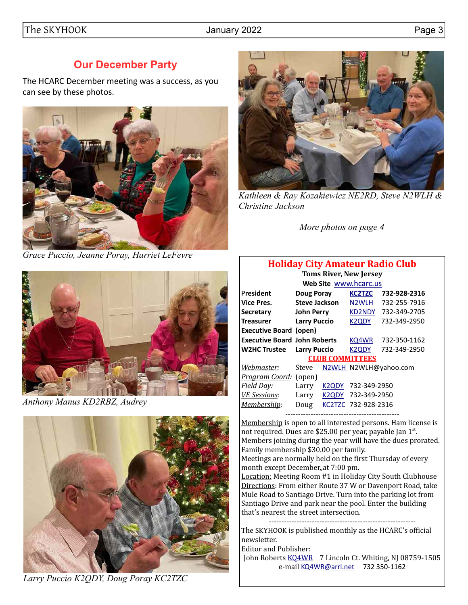## **Our December Party**

The HCARC December meeting was a success, as you can see by these photos.



*Grace Puccio, Jeanne Poray, Harriet LeFevre*



*Anthony Manus KD2RBZ, Audrey*



*Larry Puccio K2QDY, Doug Poray KC2TZC*



*Kathleen & Ray Kozakiewicz NE2RD, Steve N2WLH & Christine Jackson*

*More photos on page 4*

#### **Holiday City Amateur Radio Club**

| <b>Toms River, New Jersey</b>       |                      |       |                        |                       |  |  |  |  |  |  |
|-------------------------------------|----------------------|-------|------------------------|-----------------------|--|--|--|--|--|--|
| Web Site www.hcarc.us               |                      |       |                        |                       |  |  |  |  |  |  |
| President                           | Doug Poray           |       | <b>KC2TZC</b>          | 732-928-2316          |  |  |  |  |  |  |
| <b>Vice Pres.</b>                   | <b>Steve Jackson</b> |       | N <sub>2</sub> WLH     | 732-255-7916          |  |  |  |  |  |  |
| <b>Secretary</b>                    | <b>John Perry</b>    |       | <b>KD2NDY</b>          | 732-349-2705          |  |  |  |  |  |  |
| <b>Treasurer</b>                    | <b>Larry Puccio</b>  |       | <b>K2QDY</b>           | 732-349-2950          |  |  |  |  |  |  |
| <b>Executive Board (open)</b>       |                      |       |                        |                       |  |  |  |  |  |  |
| <b>Executive Board John Roberts</b> |                      |       | KQ4WR                  | 732-350-1162          |  |  |  |  |  |  |
| <b>W2HC Trustee</b>                 | <b>Larry Puccio</b>  |       | <b>K2QDY</b>           | 732-349-2950          |  |  |  |  |  |  |
|                                     |                      |       | <b>CLUB COMMITTEES</b> |                       |  |  |  |  |  |  |
| Webmaster:                          | Steve                |       |                        | N2WLH N2WLH@yahoo.com |  |  |  |  |  |  |
| <i>Program Coord:</i> (open)        |                      |       |                        |                       |  |  |  |  |  |  |
| <u>Field Day</u> :                  | Larry                | K2QDY | 732-349-2950           |                       |  |  |  |  |  |  |
| <u>VE Sessions:</u>                 | Larry                | K2ODY | 732-349-2950           |                       |  |  |  |  |  |  |
| Membership:                         | Doug                 |       | KC2TZC 732-928-2316    |                       |  |  |  |  |  |  |
|                                     |                      |       |                        |                       |  |  |  |  |  |  |

Membership is open to all interested persons. Ham license is not required. Dues are \$25.00 per year, payable Jan 1st. Members joining during the year will have the dues prorated. Family membership \$30.00 per family.

Meetings are normally held on the first Thursday of every month except December,,at 7:00 pm.

Location: Meeting Room #1 in Holiday City South Clubhouse Directions: From either Route 37 W or Davenport Road, take Mule Road to Santiago Drive. Turn into the parking lot from Santiago Drive and park near the pool. Enter the building that's nearest the street intersection.

----------------------------------------------------------

The SKYHOOK is published monthly as the HCARC's official newsletter.

Editor and Publisher:

John Roberts [KQ4WR](mailto:kq4wr@arrl.net) 7 Lincoln Ct. Whiting, NJ 08759-1505 e-mail [KQ4WR@arrl.net](mailto:KQ4WR@arrl.net) 732 350-1162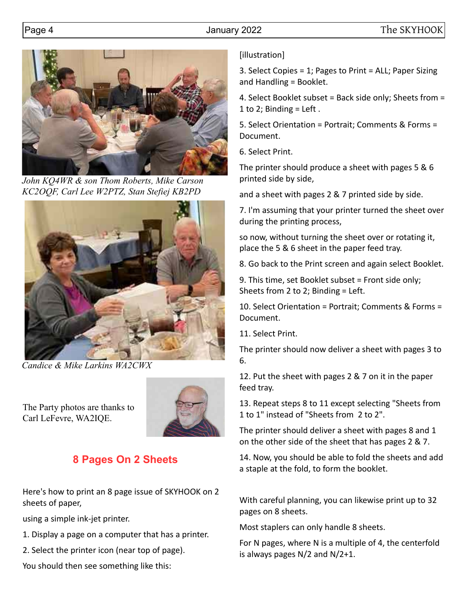

*John KQ4WR & son Thom Roberts, Mike Carson KC2OQF, Carl Lee W2PTZ, Stan Stefiej KB2PD* 



*Candice & Mike Larkins WA2CWX*

The Party photos are thanks to Carl LeFevre, WA2IQE.



# **8 Pages On 2 Sheets**

Here's how to print an 8 page issue of SKYHOOK on 2 sheets of paper,

using a simple ink-jet printer.

1. Display a page on a computer that has a printer.

2. Select the printer icon (near top of page).

You should then see something like this:

#### [illustration]

3. Select Copies = 1; Pages to Print = ALL; Paper Sizing and Handling = Booklet.

4. Select Booklet subset = Back side only; Sheets from = 1 to 2; Binding  $=$  Left.

5. Select Orientation = Portrait; Comments & Forms = Document.

6. Select Print.

The printer should produce a sheet with pages 5 & 6 printed side by side,

and a sheet with pages 2 & 7 printed side by side.

7. I'm assuming that your printer turned the sheet over during the printing process,

so now, without turning the sheet over or rotating it, place the 5 & 6 sheet in the paper feed tray.

8. Go back to the Print screen and again select Booklet.

9. This time, set Booklet subset = Front side only; Sheets from 2 to 2; Binding = Left.

10. Select Orientation = Portrait; Comments & Forms = Document.

11. Select Print.

The printer should now deliver a sheet with pages 3 to 6.

12. Put the sheet with pages 2 & 7 on it in the paper feed tray.

13. Repeat steps 8 to 11 except selecting "Sheets from 1 to 1" instead of "Sheets from 2 to 2".

The printer should deliver a sheet with pages 8 and 1 on the other side of the sheet that has pages 2 & 7.

14. Now, you should be able to fold the sheets and add a staple at the fold, to form the booklet.

With careful planning, you can likewise print up to 32 pages on 8 sheets.

Most staplers can only handle 8 sheets.

For N pages, where N is a multiple of 4, the centerfold is always pages N/2 and N/2+1.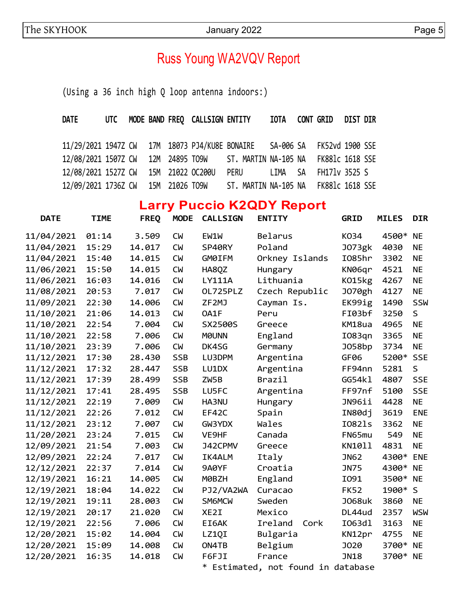# Russ Young WA2VQV Report

(Using a 36 inch high Q loop antenna indoors:)

| DATE UTC MODE BAND FREQ CALLSIGN ENTITY                                   |  |  |                                      |  |                       | IOTA CONT GRID DIST DIR |  |
|---------------------------------------------------------------------------|--|--|--------------------------------------|--|-----------------------|-------------------------|--|
|                                                                           |  |  |                                      |  |                       |                         |  |
| 11/29/2021 1947Z CW 17M 18073 PJ4/KU8E BONAIRE  SA-006 SA FK52vd 1900 SSE |  |  |                                      |  |                       |                         |  |
| 12/08/2021 1507Z CW 12M 24895 TO9W ST. MARTIN NA-105 NA FK881c 1618 SSE   |  |  |                                      |  |                       |                         |  |
| 12/08/2021 1527Z CW 15M 21022 OC200U                                      |  |  | PERU                                 |  | LIMA SA FH171v 3525 S |                         |  |
| 12/09/2021 1736Z CW 15M 21026 TO9W                                        |  |  | ST. MARTIN NA-105 NA FK881c 1618 SSE |  |                       |                         |  |

# **Larry Puccio K2QDY Report**

| <b>DATE</b> | <b>TIME</b> | <b>FREQ</b> | <b>MODE</b> | <b>CALLSIGN</b> | <b>ENTITY</b>                    | <b>GRID</b>   | <b>MILES</b> | <b>DIR</b> |
|-------------|-------------|-------------|-------------|-----------------|----------------------------------|---------------|--------------|------------|
| 11/04/2021  | 01:14       | 3.509       | <b>CW</b>   | EW1W            | <b>Belarus</b>                   | K034          | 4500*        | <b>NE</b>  |
| 11/04/2021  | 15:29       | 14.017      | <b>CW</b>   | SP40RY          | Poland                           | <b>J073gk</b> | 4030         | <b>NE</b>  |
| 11/04/2021  | 15:40       | 14.015      | <b>CW</b>   | GM0IFM          | Orkney Islands                   | I085hr        | 3302         | <b>NE</b>  |
| 11/06/2021  | 15:50       | 14.015      | <b>CW</b>   | HA8QZ           | Hungary                          | KN06qr        | 4521         | <b>NE</b>  |
| 11/06/2021  | 16:03       | 14.016      | <b>CW</b>   | <b>LY111A</b>   | Lithuania                        | K015kg        | 4267         | <b>NE</b>  |
| 11/08/2021  | 20:53       | 7.017       | <b>CM</b>   | OL725PLZ        | Czech Republic                   | <b>J070gh</b> | 4127         | <b>NE</b>  |
| 11/09/2021  | 22:30       | 14.006      | <b>CW</b>   | ZF2MJ           | Cayman Is.                       | EK99ig        | 1490         | SSW        |
| 11/10/2021  | 21:06       | 14.013      | <b>CW</b>   | OA1F            | Peru                             | FI03bf        | 3250         | S          |
| 11/10/2021  | 22:54       | 7.004       | <b>CW</b>   | SX2500S         | Greece                           | KM18ua        | 4965         | <b>NE</b>  |
| 11/10/2021  | 22:58       | 7.006       | <b>CW</b>   | <b>MOUNN</b>    | England                          | I083qn        | 3365         | <b>NE</b>  |
| 11/10/2021  | 23:39       | 7.006       | <b>CW</b>   | DK4SG           | Germany                          | J058bp        | 3734         | <b>NE</b>  |
| 11/12/2021  | 17:30       | 28.430      | <b>SSB</b>  | LU3DPM          | Argentina                        | GF06          | 5200*        | <b>SSE</b> |
| 11/12/2021  | 17:32       | 28.447      | <b>SSB</b>  | LU1DX           | Argentina                        | FF94nn        | 5281         | S          |
| 11/12/2021  | 17:39       | 28.499      | <b>SSB</b>  | ZW5B            | Brazil                           | GG54kl        | 4807         | <b>SSE</b> |
| 11/12/2021  | 17:41       | 28.495      | <b>SSB</b>  | LU5FC           | Argentina                        | FF97nf        | 5100         | <b>SSE</b> |
| 11/12/2021  | 22:19       | 7.009       | <b>CW</b>   | HA3NU           | Hungary                          | JN96ii        | 4428         | <b>NE</b>  |
| 11/12/2021  | 22:26       | 7.012       | <b>CW</b>   | EF42C           | Spain                            | IN80dj        | 3619         | <b>ENE</b> |
| 11/12/2021  | 23:12       | 7.007       | <b>CW</b>   | GW3YDX          | Wales                            | I0821s        | 3362         | <b>NE</b>  |
| 11/20/2021  | 23:24       | 7.015       | <b>CM</b>   | VE9HF           | Canada                           | FN65mu        | 549          | <b>NE</b>  |
| 12/09/2021  | 21:54       | 7.003       | <b>CW</b>   | J42CPMV         | Greece                           | KN1011        | 4831         | <b>NE</b>  |
| 12/09/2021  | 22:24       | 7.017       | <b>CW</b>   | IK4ALM          | Italy                            | <b>JN62</b>   | 4300*        | <b>ENE</b> |
| 12/12/2021  | 22:37       | 7.014       | <b>CW</b>   | 9A0YF           | Croatia                          | <b>JN75</b>   | 4300*        | <b>NE</b>  |
| 12/19/2021  | 16:21       | 14.005      | <b>CW</b>   | M0BZH           | England                          | I091          | 3500*        | <b>NE</b>  |
| 12/19/2021  | 18:04       | 14.022      | <b>CW</b>   | PJ2/VA2WA       | Curacao                          | <b>FK52</b>   | 1900* S      |            |
| 12/19/2021  | 19:11       | 28.003      | <b>CW</b>   | <b>SM6MCW</b>   | Sweden                           | <b>J068uk</b> | 3860         | <b>NE</b>  |
| 12/19/2021  | 20:17       | 21.020      | <b>CW</b>   | XE2I            | Mexico                           | DL44ud        | 2357         | <b>WSW</b> |
| 12/19/2021  | 22:56       | 7.006       | <b>CW</b>   | EI6AK           | Ireland<br>Cork                  | I063dl        | 3163         | <b>NE</b>  |
| 12/20/2021  | 15:02       | 14.004      | <b>CW</b>   | LZ1QI           | Bulgaria                         | KN12pr        | 4755         | <b>NE</b>  |
| 12/20/2021  | 15:09       | 14.008      | <b>CW</b>   | ON4TB           | Belgium                          | J020          | 3700*        | <b>NE</b>  |
| 12/20/2021  | 16:35       | 14.018      | <b>CW</b>   | F6FJI           | France                           | <b>JN18</b>   | 3700*        | <b>NE</b>  |
|             |             |             |             | $\ast$          | Estimated, not found in database |               |              |            |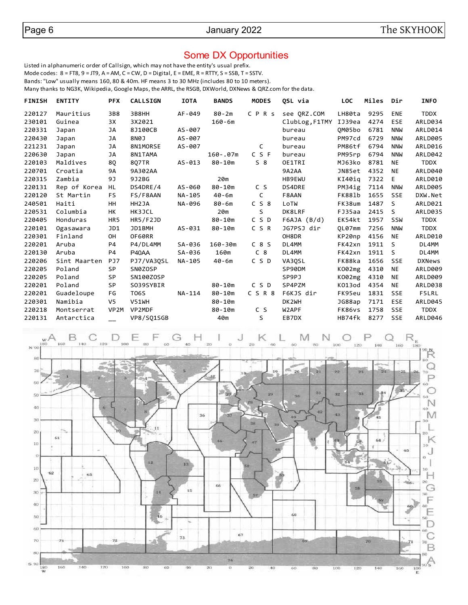#### Some DX Opportunities

Listed in alphanumeric order of Callsign, which may not have the entity's usual prefix.

Mode codes:  $8 = FTS$ ,  $9 = JTS$ ,  $A = AM$ ,  $C = CW$ ,  $D = Digital$ ,  $E = EME$ ,  $R = RTTY$ ,  $S = SSB$ ,  $T = SSTV$ .

Bands: "Low" usually means 160, 80 & 40m. HF means 3 to 30 MHz (includes 80 to 10 meters).

Many thanks to NG3K, Wikipedia, Google Maps, the ARRL, the RSGB, DXWorld, DXNews & QRZ.com for the data.

| <b>FINISH</b> | <b>ENTITY</b> | <b>PFX</b>     | <b>CALLSIGN</b> | <b>IOTA</b> | <b>BANDS</b> | <b>MODES</b>   | QSL via        | <b>LOC</b>    | Miles | Dir          | <b>INFO</b>    |
|---------------|---------------|----------------|-----------------|-------------|--------------|----------------|----------------|---------------|-------|--------------|----------------|
| 220127        | Mauritius     | 3B8            | 3B8HH           | AF-049      | 80-2m        | CPRS           | see ORZ.COM    | LH80ta        | 9295  | ENE          | TDDX           |
| 230101        | Guinea        | 3X             | 3X2021          |             | $160 - 6m$   |                | ClubLog, F1TMY | IJ39ea        | 4274  | ESE          | ARLD034        |
| 220331        | Japan         | JA             | 8J100CB         | AS-007      |              |                | bureau         | OM05bo        | 6781  | <b>NNW</b>   | ARLD014        |
| 220430        | Japan         | JA             | 8N0J            | AS-007      |              |                | bureau         | PM97cd        | 6729  | <b>NNW</b>   | <b>ARLD005</b> |
| 221231        | Japan         | JA             | 8N1MORSE        | AS-007      |              | C              | bureau         | PM86tf        | 6794  | <b>NNW</b>   | ARLD016        |
| 220630        | Japan         | JA             | 8N1TAMA         |             | $160 - .07m$ | C S F          | bureau         | PM95rp        | 6794  | <b>NNW</b>   | ARLD042        |
| 220103        | Maldives      | 8Q             | 807TR           | $AS-013$    | $80 - 10m$   | $S_8$          | OE1TRI         | MJ63ko        | 8781  | <b>NE</b>    | <b>TDDX</b>    |
| 220701        | Croatia       | 9Α             | 9A302AA         |             |              |                | 9A2AA          | JN85et        | 4352  | <b>NE</b>    | ARLD040        |
| 220315        | Zambia        | 9J             | 9J2BG           |             | 20m          |                | HB9EWU         | KI40ia        | 7322  | E            | ARLD010        |
| 220131        | Rep of Korea  | HL             | DS4DRE/4        | AS-060      | $80 - 10m$   | C S            | DS4DRE         | PM34ig        | 7114  | <b>NNW</b>   | <b>ARLD005</b> |
| 220120        | St Martin     | FS.            | FS/F8AAN        | NA-105      | $40 - 6m$    | C              | F8AAN          | <b>FK881b</b> | 1655  | <b>SSE</b>   | DXW.Net        |
| 240501        | Haiti         | HH             | HH2JA           | NA-096      | $80 - 6m$    | C S 8          | LoTW           | FK38um        | 1487  | <sub>S</sub> | ARLD021        |
| 220531        | Columbia      | HК             | HK3JCL          |             | 20m          | S              | DK8LRF         | FJ35aa        | 2415  | <sub>S</sub> | <b>ARLD035</b> |
| 220405        | Honduras      | HR5            | HR5/F2JD        |             | $80 - 10m$   | CSD            | F6AJA (B/d)    | EK54kt        | 1957  | SSW          | TDDX           |
| 220101        | Ogasawara     | JD1            | JD1BMH          | AS-031      | $80 - 10m$   | CSR            | JG7PSJ dir     | OL07mm        | 7256  | <b>NNW</b>   | TDDX           |
| 220301        | Finland       | OН             | OF60RR          |             |              |                | OH8DR          | KP20np        | 4156  | <b>NE</b>    | ARLD010        |
| 220201        | Aruba         | P4             | P4/DL4MM        | SA-036      | $160 - 30m$  | C8S            | DL4MM          | FK42xn        | 1911  | - S          | DL4MM          |
| 220130        | Aruba         | P4             | P40AA           | SA-036      | 160m         | C <sub>8</sub> | DL4MM          | FK42xn        | 1911  | <sub>S</sub> | DL4MM          |
| 220206        | Sint Maarten  | PJ7            | PJ7/VA30SL      | NA-105      | 40-6m        | CSD            | VA3QSL         | FK88ka        | 1656  | <b>SSE</b>   | <b>DXNews</b>  |
| 220205        | Poland        | <b>SP</b>      | SN0ZOSP         |             |              |                | SP90DM         | K002mg        | 4310  | <b>NE</b>    | <b>ARLD009</b> |
| 220205        | Poland        | <b>SP</b>      | SN100ZOSP       |             |              |                | SP9PJ          | K002mg        | 4310  | <b>NE</b>    | ARLD009        |
| 220201        | Poland        | SP             | S039SYBIR       |             | $80 - 10m$   | C S D          | SP4PZM         | K013od        | 4354  | <b>NE</b>    | ARLD038        |
| 220201        | Guadeloupe    | FG             | <b>T06S</b>     | NA-114      | $80 - 10m$   | CSR8           | F6KJS dir      | FK95eu        | 1831  | <b>SSE</b>   | F5LRL          |
| 220301        | Namibia       | V <sub>5</sub> | V51WH           |             | $80 - 10m$   |                | DK2WH          | JG88ap        | 7171  | ESE          | ARLD045        |
| 220218        | Montserrat    | VP2M           | VP2MDF          |             | $80 - 10m$   | C S            | W2APF          | FK86vs        | 1758  | <b>SSE</b>   | TDDX           |
| 220131        | Antarctica    |                | VP8/SQ1SGB      |             | 40m          | S              | EB7DX          | HB74fk        | 8277  | <b>SSE</b>   | ARLD046        |
|               |               |                |                 |             |              |                |                |               |       |              |                |

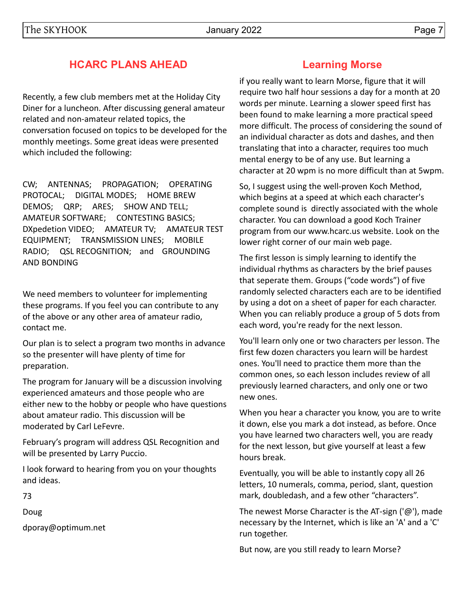# **HCARC PLANS AHEAD**

Recently, a few club members met at the Holiday City Diner for a luncheon. After discussing general amateur related and non-amateur related topics, the conversation focused on topics to be developed for the monthly meetings. Some great ideas were presented which included the following:

CW; ANTENNAS; PROPAGATION; OPERATING PROTOCAL; DIGITAL MODES; HOME BREW DEMOS; QRP; ARES; SHOW AND TELL; AMATEUR SOFTWARE; CONTESTING BASICS; DXpedetion VIDEO; AMATEUR TV; AMATEUR TEST EQUIPMENT; TRANSMISSION LINES; MOBILE RADIO; QSL RECOGNITION; and GROUNDING AND BONDING

We need members to volunteer for implementing these programs. If you feel you can contribute to any of the above or any other area of amateur radio, contact me.

Our plan is to select a program two months in advance so the presenter will have plenty of time for preparation.

The program for January will be a discussion involving experienced amateurs and those people who are either new to the hobby or people who have questions about amateur radio. This discussion will be moderated by Carl LeFevre.

February's program will address QSL Recognition and will be presented by Larry Puccio.

I look forward to hearing from you on your thoughts and ideas.

73

Doug

dporay@optimum.net

## **Learning Morse**

if you really want to learn Morse, figure that it will require two half hour sessions a day for a month at 20 words per minute. Learning a slower speed first has been found to make learning a more practical speed more difficult. The process of considering the sound of an individual character as dots and dashes, and then translating that into a character, requires too much mental energy to be of any use. But learning a character at 20 wpm is no more difficult than at 5wpm.

So, I suggest using the well-proven Koch Method, which begins at a speed at which each character's complete sound is directly associated with the whole character. You can download a good Koch Trainer program from our www.hcarc.us website. Look on the lower right corner of our main web page.

The first lesson is simply learning to identify the individual rhythms as characters by the brief pauses that seperate them. Groups ("code words") of five randomly selected characters each are to be identified by using a dot on a sheet of paper for each character. When you can reliably produce a group of 5 dots from each word, you're ready for the next lesson.

You'll learn only one or two characters per lesson. The first few dozen characters you learn will be hardest ones. You'll need to practice them more than the common ones, so each lesson includes review of all previously learned characters, and only one or two new ones.

When you hear a character you know, you are to write it down, else you mark a dot instead, as before. Once you have learned two characters well, you are ready for the next lesson, but give yourself at least a few hours break.

Eventually, you will be able to instantly copy all 26 letters, 10 numerals, comma, period, slant, question mark, doubledash, and a few other "characters".

The newest Morse Character is the AT-sign ('@'), made necessary by the Internet, which is like an 'A' and a 'C' run together.

But now, are you still ready to learn Morse?